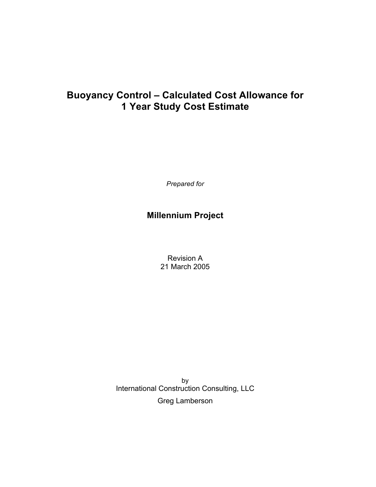*Prepared for*

# **Millennium Project**

Revision A 21 March 2005

by International Construction Consulting, LLC Greg Lamberson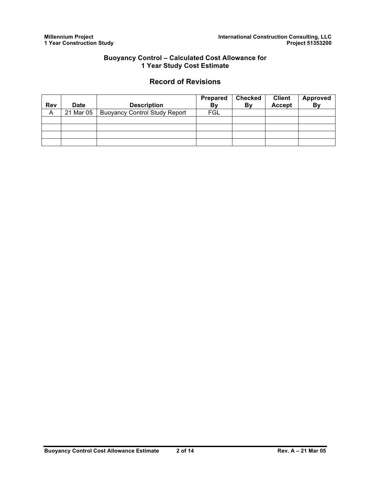### **Record of Revisions**

|            |             |                                      | Prepared | <b>Checked</b> | <b>Client</b> | Approved |
|------------|-------------|--------------------------------------|----------|----------------|---------------|----------|
| <b>Rev</b> | <b>Date</b> | <b>Description</b>                   | By       | By             | <b>Accept</b> | By       |
| A          | 21 Mar 05   | <b>Buoyancy Control Study Report</b> | FGL      |                |               |          |
|            |             |                                      |          |                |               |          |
|            |             |                                      |          |                |               |          |
|            |             |                                      |          |                |               |          |
|            |             |                                      |          |                |               |          |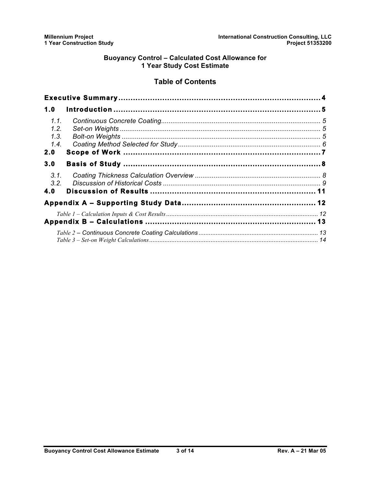### **Table of Contents**

| 1.0  |  |
|------|--|
| 1.1. |  |
| 1.2. |  |
| 1.3. |  |
| 1.4. |  |
| 2.0  |  |
| 3.0  |  |
| 3.1. |  |
| 3.2. |  |
| 4.0  |  |
|      |  |
|      |  |
|      |  |
|      |  |
|      |  |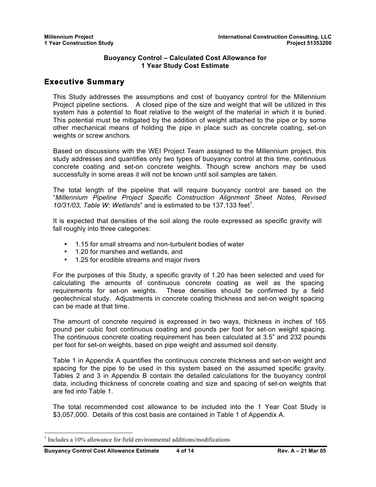### **Executive Summary**

This Study addresses the assumptions and cost of buoyancy control for the Millennium Project pipeline sections. A closed pipe of the size and weight that will be utilized in this system has a potential to float relative to the weight of the material in which it is buried. This potential must be mitigated by the addition of weight attached to the pipe or by some other mechanical means of holding the pipe in place such as concrete coating, set-on weights or screw anchors.

Based on discussions with the WEI Project Team assigned to the Millennium project, this study addresses and quantifies only two types of buoyancy control at this time, continuous concrete coating and set-on concrete weights. Though screw anchors may be used successfully in some areas it will not be known until soil samples are taken.

The total length of the pipeline that will require buoyancy control are based on the "*Millennium Pipeline Project Specific Construction Alignment Sheet Notes, Revised*  10/31/03, Table W: Wetlands" and is estimated to be 137,133 feet<sup>1</sup>.

It is expected that densities of the soil along the route expressed as specific gravity will fall roughly into three categories:

- 1.15 for small streams and non-turbulent bodies of water
- 1.20 for marshes and wetlands, and
- 1.25 for erodible streams and major rivers

For the purposes of this Study, a specific gravity of 1.20 has been selected and used for calculating the amounts of continuous concrete coating as well as the spacing requirements for set-on weights. These densities should be confirmed by a field geotechnical study. Adjustments in concrete coating thickness and set-on weight spacing can be made at that time.

The amount of concrete required is expressed in two ways, thickness in inches of 165 pound per cubic foot continuous coating and pounds per foot for set-on weight spacing. The continuous concrete coating requirement has been calculated at 3.5" and 232 pounds per foot for set-on weights, based on pipe weight and assumed soil density.

Table 1 in Appendix A quantifies the continuous concrete thickness and set-on weight and spacing for the pipe to be used in this system based on the assumed specific gravity. Tables 2 and 3 in Appendix B contain the detailed calculations for the buoyancy control data, including thickness of concrete coating and size and spacing of set-on weights that are fed into Table 1.

The total recommended cost allowance to be included into the 1 Year Cost Study is \$3,057,000. Details of this cost basis are contained in Table 1 of Appendix A.

 <sup>1</sup> Includes a 10% allowance for field environmental additions/modifications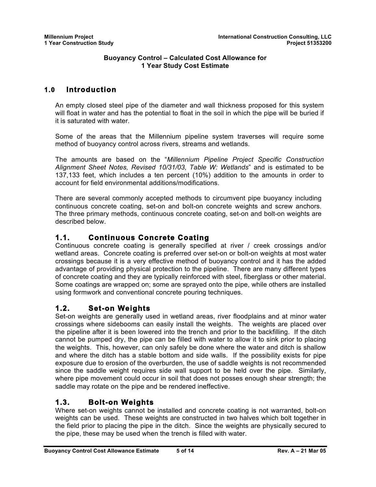## **1.0 Introduction**

An empty closed steel pipe of the diameter and wall thickness proposed for this system will float in water and has the potential to float in the soil in which the pipe will be buried if it is saturated with water.

Some of the areas that the Millennium pipeline system traverses will require some method of buoyancy control across rivers, streams and wetlands.

The amounts are based on the "*Millennium Pipeline Project Specific Construction Alignment Sheet Notes, Revised 10/31/03, Table W: Wetlands*" and is estimated to be 137,133 feet, which includes a ten percent (10%) addition to the amounts in order to account for field environmental additions/modifications.

There are several commonly accepted methods to circumvent pipe buoyancy including continuous concrete coating, set-on and bolt-on concrete weights and screw anchors. The three primary methods, continuous concrete coating, set-on and bolt-on weights are described below.

## **1.1. Continuous Concrete Coating**

Continuous concrete coating is generally specified at river / creek crossings and/or wetland areas. Concrete coating is preferred over set-on or bolt-on weights at most water crossings because it is a very effective method of buoyancy control and it has the added advantage of providing physical protection to the pipeline. There are many different types of concrete coating and they are typically reinforced with steel, fiberglass or other material. Some coatings are wrapped on; some are sprayed onto the pipe, while others are installed using formwork and conventional concrete pouring techniques.

## **1.2. Set-on Weights**

Set-on weights are generally used in wetland areas, river floodplains and at minor water crossings where sidebooms can easily install the weights. The weights are placed over the pipeline after it is been lowered into the trench and prior to the backfilling. If the ditch cannot be pumped dry, the pipe can be filled with water to allow it to sink prior to placing the weights. This, however, can only safely be done where the water and ditch is shallow and where the ditch has a stable bottom and side walls. If the possibility exists for pipe exposure due to erosion of the overburden, the use of saddle weights is not recommended since the saddle weight requires side wall support to be held over the pipe. Similarly, where pipe movement could occur in soil that does not posses enough shear strength; the saddle may rotate on the pipe and be rendered ineffective.

## **1.3. Bolt-on Weights**

Where set-on weights cannot be installed and concrete coating is not warranted, bolt-on weights can be used. These weights are constructed in two halves which bolt together in the field prior to placing the pipe in the ditch. Since the weights are physically secured to the pipe, these may be used when the trench is filled with water.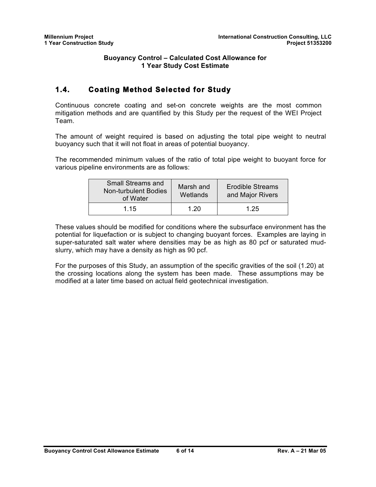## **1.4. Coating Method Selected for Study**

Continuous concrete coating and set-on concrete weights are the most common mitigation methods and are quantified by this Study per the request of the WEI Project Team.

The amount of weight required is based on adjusting the total pipe weight to neutral buoyancy such that it will not float in areas of potential buoyancy.

The recommended minimum values of the ratio of total pipe weight to buoyant force for various pipeline environments are as follows:

| <b>Small Streams and</b><br><b>Non-turbulent Bodies</b><br>of Water | Marsh and<br>Wetlands | <b>Erodible Streams</b><br>and Major Rivers |  |  |
|---------------------------------------------------------------------|-----------------------|---------------------------------------------|--|--|
| 1 15                                                                | 1.20                  | 1 25                                        |  |  |

These values should be modified for conditions where the subsurface environment has the potential for liquefaction or is subject to changing buoyant forces. Examples are laying in super-saturated salt water where densities may be as high as 80 pcf or saturated mudslurry, which may have a density as high as 90 pcf.

For the purposes of this Study, an assumption of the specific gravities of the soil (1.20) at the crossing locations along the system has been made. These assumptions may be modified at a later time based on actual field geotechnical investigation.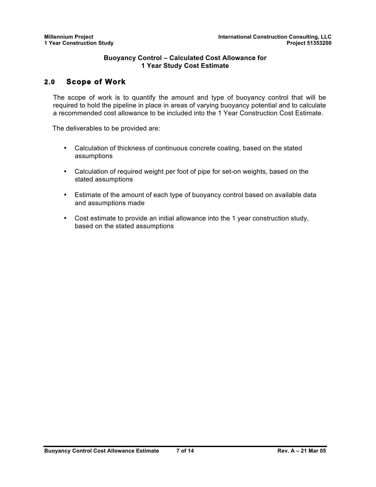## **2.0 Scope of Work**

The scope of work is to quantify the amount and type of buoyancy control that will be required to hold the pipeline in place in areas of varying buoyancy potential and to calculate a recommended cost allowance to be included into the 1 Year Construction Cost Estimate.

The deliverables to be provided are:

- Calculation of thickness of continuous concrete coating, based on the stated assumptions
- Calculation of required weight per foot of pipe for set-on weights, based on the stated assumptions
- Estimate of the amount of each type of buoyancy control based on available data and assumptions made
- Cost estimate to provide an initial allowance into the 1 year construction study, based on the stated assumptions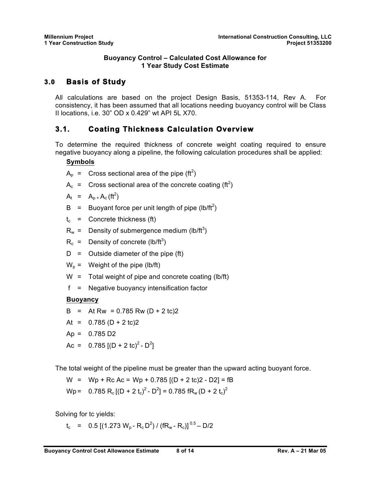## **3.0 Basis of Study**

All calculations are based on the project Design Basis, 51353-114, Rev A. For consistency, it has been assumed that all locations needing buoyancy control will be Class II locations, i.e. 30" OD x 0.429" wt API 5L X70.

## **3.1. Coating Thickness Calculation Overview**

To determine the required thickness of concrete weight coating required to ensure negative buoyancy along a pipeline, the following calculation procedures shall be applied:

### **Symbols**

 $A_p$  = Cross sectional area of the pipe (ft<sup>2</sup>)

 $A_c$  = Cross sectional area of the concrete coating (ft<sup>2</sup>)

 $A_t$  =  $A_p$ ,  $A_c$  (ft<sup>2</sup>)

- B = Buoyant force per unit length of pipe (lb/ft<sup>2</sup>)
- $t_c$  = Concrete thickness (ft)
- $R_w =$  Density of submergence medium (lb/ft<sup>3</sup>)
- $R_c$  = Density of concrete (lb/ft<sup>3</sup>)
- $D =$  Outside diameter of the pipe (ft)
- $W_p$  = Weight of the pipe (lb/ft)
- W = Total weight of pipe and concrete coating (lb/ft)
- f = Negative buoyancy intensification factor

### **Buoyancy**

- B = At Rw =  $0.785$  Rw (D + 2 tc)2
- At =  $0.785$  (D + 2 tc)2
- $Ap = 0.785 D2$
- Ac = 0.785 [(D + 2 tc)<sup>2</sup> D<sup>2</sup>]

The total weight of the pipeline must be greater than the upward acting buoyant force.

W =  $Wp + Rc$  Ac = Wp + 0.785  $[(D + 2 tc)2 - D2] = fB$ Wp = 0.785 R<sub>c</sub> [(D + 2 t<sub>c</sub>)<sup>2</sup> - D<sup>2</sup>] = 0.785 fR<sub>w</sub> (D + 2 t<sub>c</sub>)<sup>2</sup>

Solving for tc yields:

 $t_c$  = 0.5 [(1.273 W<sub>p</sub> - R<sub>c</sub>D<sup>2</sup>) / (fR<sub>w</sub> - R<sub>c</sub>)] <sup>0.5</sup> – D/2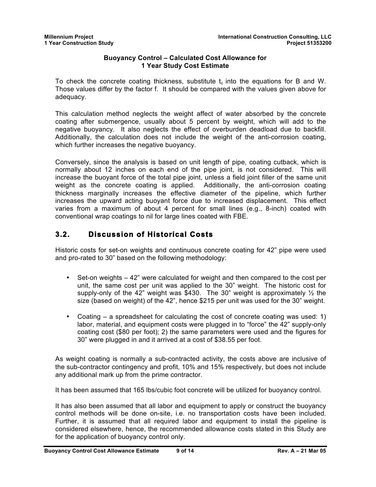To check the concrete coating thickness, substitute  $t_c$  into the equations for B and W. Those values differ by the factor f. It should be compared with the values given above for adequacy.

This calculation method neglects the weight affect of water absorbed by the concrete coating after submergence, usually about 5 percent by weight, which will add to the negative buoyancy. It also neglects the effect of overburden deadload due to backfill. Additionally, the calculation does not include the weight of the anti-corrosion coating, which further increases the negative buoyancy.

Conversely, since the analysis is based on unit length of pipe, coating cutback, which is normally about 12 inches on each end of the pipe joint, is not considered. This will increase the buoyant force of the total pipe joint, unless a field joint filler of the same unit weight as the concrete coating is applied. Additionally, the anti-corrosion coating thickness marginally increases the effective diameter of the pipeline, which further increases the upward acting buoyant force due to increased displacement. This effect varies from a maximum of about 4 percent for small lines (e.g., 8-inch) coated with conventional wrap coatings to nil for large lines coated with FBE.

## **3.2. Discussion of Historical Costs**

Historic costs for set-on weights and continuous concrete coating for 42" pipe were used and pro-rated to 30" based on the following methodology:

- Set-on weights 42" were calculated for weight and then compared to the cost per unit, the same cost per unit was applied to the 30" weight. The historic cost for supply-only of the 42" weight was \$430. The 30" weight is approximately  $\frac{1}{2}$  the size (based on weight) of the 42", hence \$215 per unit was used for the 30" weight.
- Coating a spreadsheet for calculating the cost of concrete coating was used: 1) labor, material, and equipment costs were plugged in to "force" the 42" supply-only coating cost (\$80 per foot); 2) the same parameters were used and the figures for 30" were plugged in and it arrived at a cost of \$38.55 per foot.

As weight coating is normally a sub-contracted activity, the costs above are inclusive of the sub-contractor contingency and profit, 10% and 15% respectively, but does not include any additional mark up from the prime contractor.

It has been assumed that 165 lbs/cubic foot concrete will be utilized for buoyancy control.

It has also been assumed that all labor and equipment to apply or construct the buoyancy control methods will be done on-site, i.e. no transportation costs have been included. Further, it is assumed that all required labor and equipment to install the pipeline is considered elsewhere, hence, the recommended allowance costs stated in this Study are for the application of buoyancy control only.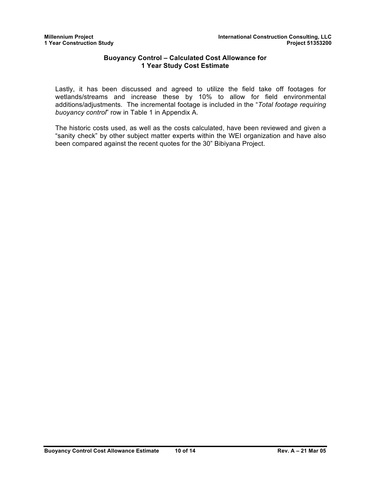Lastly, it has been discussed and agreed to utilize the field take off footages for wetlands/streams and increase these by 10% to allow for field environmental additions/adjustments. The incremental footage is included in the "*Total footage requiring buoyancy control*" row in Table 1 in Appendix A.

The historic costs used, as well as the costs calculated, have been reviewed and given a "sanity check" by other subject matter experts within the WEI organization and have also been compared against the recent quotes for the 30" Bibiyana Project.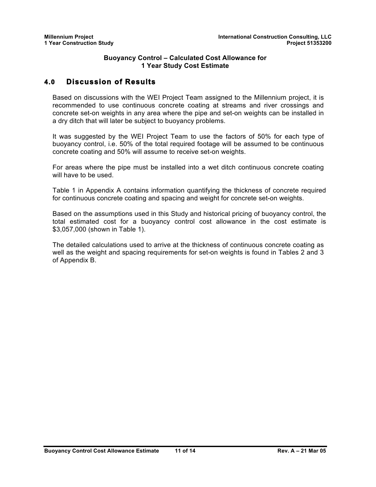### **4.0 Discussion of Results**

Based on discussions with the WEI Project Team assigned to the Millennium project, it is recommended to use continuous concrete coating at streams and river crossings and concrete set-on weights in any area where the pipe and set-on weights can be installed in a dry ditch that will later be subject to buoyancy problems.

It was suggested by the WEI Project Team to use the factors of 50% for each type of buoyancy control, i.e. 50% of the total required footage will be assumed to be continuous concrete coating and 50% will assume to receive set-on weights.

For areas where the pipe must be installed into a wet ditch continuous concrete coating will have to be used.

Table 1 in Appendix A contains information quantifying the thickness of concrete required for continuous concrete coating and spacing and weight for concrete set-on weights.

Based on the assumptions used in this Study and historical pricing of buoyancy control, the total estimated cost for a buoyancy control cost allowance in the cost estimate is \$3,057,000 (shown in Table 1).

The detailed calculations used to arrive at the thickness of continuous concrete coating as well as the weight and spacing requirements for set-on weights is found in Tables 2 and 3 of Appendix B.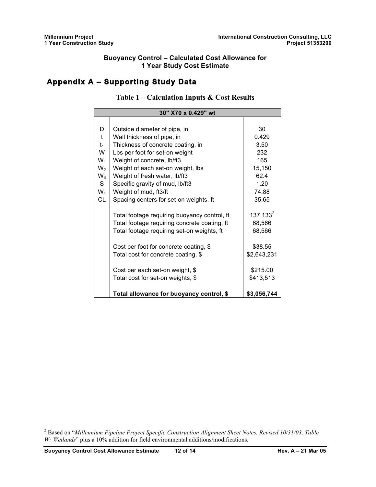## **Appendix A – Supporting Study Data**

### **Table 1 – Calculation Inputs & Cost Results**

| 30" X70 x 0.429" wt |                                              |              |  |  |
|---------------------|----------------------------------------------|--------------|--|--|
|                     |                                              |              |  |  |
| D                   | Outside diameter of pipe, in.                | 30           |  |  |
| $\mathbf t$         | Wall thickness of pipe, in                   | 0.429        |  |  |
| $t_1$               | Thickness of concrete coating, in            | 3.50         |  |  |
| W                   | Lbs per foot for set-on weight               | 232          |  |  |
| $W_1$               | Weight of concrete, lb/ft3                   | 165          |  |  |
| $W_2$               | Weight of each set-on weight, lbs            | 15,150       |  |  |
| $W_3$               | Weight of fresh water, Ib/ft3                | 62.4         |  |  |
| S                   | Specific gravity of mud, Ib/ft3              | 1.20         |  |  |
| $W_4$               | Weight of mud, ft3/ft                        | 74.88        |  |  |
| CL                  | Spacing centers for set-on weights, ft       | 35.65        |  |  |
|                     |                                              |              |  |  |
|                     | Total footage requiring buoyancy control, ft | $137, 133^2$ |  |  |
|                     | Total footage requiring concrete coating, ft | 68,566       |  |  |
|                     | Total footage requiring set-on weights, ft   | 68,566       |  |  |
|                     | Cost per foot for concrete coating, \$       | \$38.55      |  |  |
|                     | Total cost for concrete coating, \$          | \$2,643,231  |  |  |
|                     |                                              |              |  |  |
|                     | Cost per each set-on weight, \$              | \$215.00     |  |  |
|                     | Total cost for set-on weights, \$            | \$413,513    |  |  |
|                     | Total allowance for buoyancy control, \$     | \$3,056,744  |  |  |

 <sup>2</sup> Based on "*Millennium Pipeline Project Specific Construction Alignment Sheet Notes, Revised 10/31/03, Table W: Wetlands*" plus a 10% addition for field environmental additions/modifications.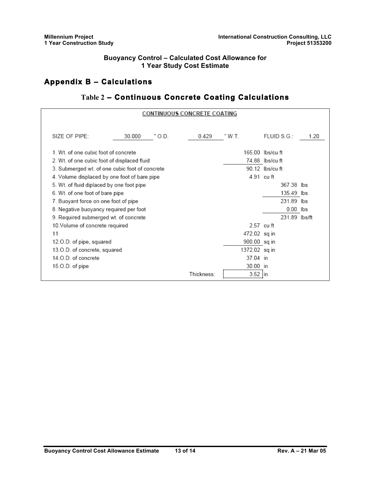## **Appendix B – Calculations**

## **Table 2 – Continuous Concrete Coating Calculations**

| <b>CONTINUOUS CONCRETE COATING</b>             |                  |            |              |                  |      |
|------------------------------------------------|------------------|------------|--------------|------------------|------|
|                                                |                  |            |              |                  |      |
| SIZE OF PIPE:                                  | 30.000<br>" O.D. | 0.429      | " W.T.       | FLUIDS. G.       | 1.20 |
| 1. Wt. of one cubic foot of concrete           |                  |            |              | 165.00 lbs/cu ft |      |
| 2. Wt. of one cubic foot of displaced fluid    |                  |            |              | 74.88 lbs/cuft   |      |
| 3. Submerged wt. of one cubic foot of concrete |                  |            |              | 90.12 lbs/cuft   |      |
| 4. Volume displaced by one foot of bare pipe   |                  |            | 4.91 cuft    |                  |      |
| 5. Wt. of fluid diplaced by one foot pipe      |                  |            |              | 367.38 lbs       |      |
| 6. Wt. of one foot of bare pipe                |                  |            |              | 135.49 lbs       |      |
| 7. Buoyant force on one foot of pipe           |                  |            |              | 231.89 lbs       |      |
| 8. Negative buoyancy required per foot         |                  |            |              | $0.00$ lbs       |      |
| 9. Required submerged wt. of concrete          |                  |            |              | 231.89 lbs/ft    |      |
| 10. Volume of concrete required                |                  |            | 2.57 cu ft   |                  |      |
| 11                                             |                  |            | 472.02 sq in |                  |      |
| 12.O.D. of pipe, squared                       |                  |            | 900.00 sq in |                  |      |
| 13.O.D. of concrete, squared                   |                  |            | 1372.02 sqin |                  |      |
| 14.O.D. of concrete                            |                  |            | 37.04 in     |                  |      |
| 15.O.D. of pipe                                |                  |            | 30.00 in     |                  |      |
|                                                |                  | Thickness: | $3.52$ in    |                  |      |